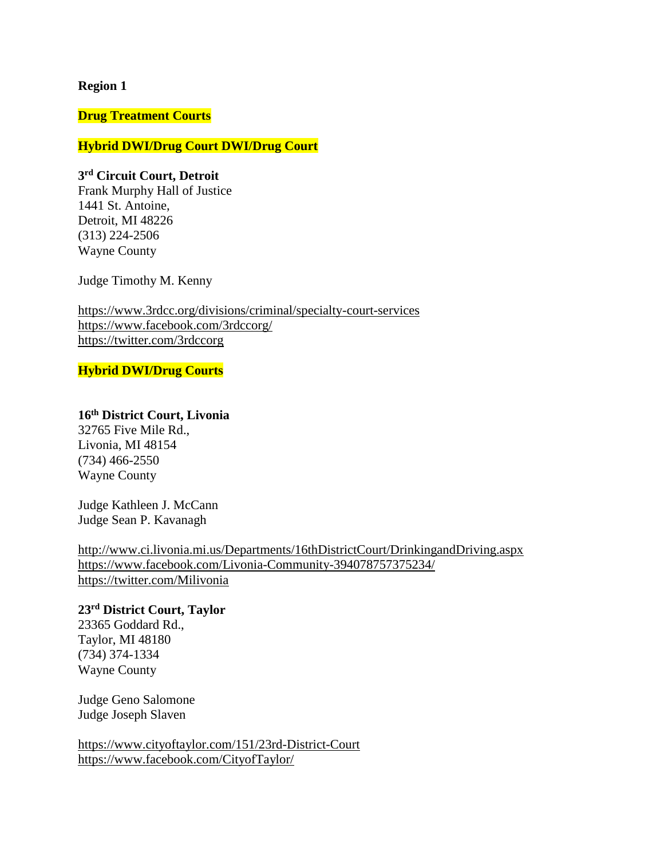#### **Region 1**

#### **Drug Treatment Courts**

### **Hybrid DWI/Drug Court DWI/Drug Court**

### **3 rd Circuit Court, Detroit**

Frank Murphy Hall of Justice 1441 St. Antoine, Detroit, MI 48226 (313) 224-2506 Wayne County

Judge Timothy M. Kenny

<https://www.3rdcc.org/divisions/criminal/specialty-court-services> <https://www.facebook.com/3rdccorg/> <https://twitter.com/3rdccorg>

## **Hybrid DWI/Drug Courts**

## **16th District Court, Livonia**

32765 Five Mile Rd., Livonia, MI 48154 (734) 466-2550 Wayne County

Judge Kathleen J. McCann Judge Sean P. Kavanagh

<http://www.ci.livonia.mi.us/Departments/16thDistrictCourt/DrinkingandDriving.aspx> <https://www.facebook.com/Livonia-Community-394078757375234/> <https://twitter.com/Milivonia>

# **23rd District Court, Taylor**

23365 Goddard Rd., Taylor, MI 48180 (734) 374-1334 Wayne County

Judge Geno Salomone Judge Joseph Slaven

<https://www.cityoftaylor.com/151/23rd-District-Court> <https://www.facebook.com/CityofTaylor/>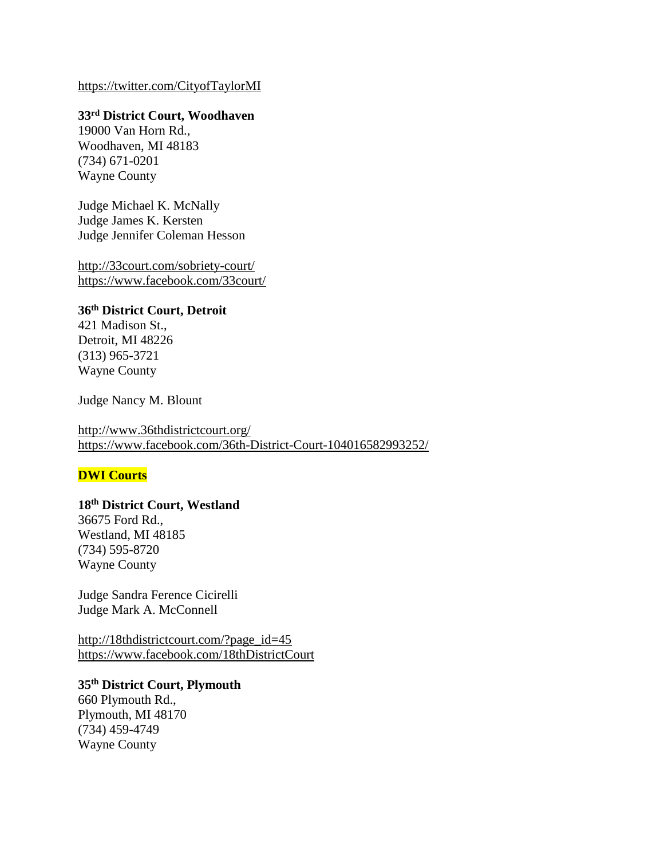### <https://twitter.com/CityofTaylorMI>

# **33rd District Court, Woodhaven**

19000 Van Horn Rd., Woodhaven, MI 48183 (734) 671-0201 Wayne County

Judge Michael K. McNally Judge James K. Kersten Judge Jennifer Coleman Hesson

<http://33court.com/sobriety-court/> <https://www.facebook.com/33court/>

### **36th District Court, Detroit**

421 Madison St., Detroit, MI 48226 (313) 965-3721 Wayne County

Judge Nancy M. Blount

<http://www.36thdistrictcourt.org/> <https://www.facebook.com/36th-District-Court-104016582993252/>

## **DWI Courts**

## **18th District Court, Westland**

36675 Ford Rd., Westland, MI 48185 (734) 595-8720 Wayne County

Judge Sandra Ference Cicirelli Judge Mark A. McConnell

[http://18thdistrictcourt.com/?page\\_id=45](http://18thdistrictcourt.com/?page_id=45) <https://www.facebook.com/18thDistrictCourt>

### **35th District Court, Plymouth**

660 Plymouth Rd., Plymouth, MI 48170 (734) 459-4749 Wayne County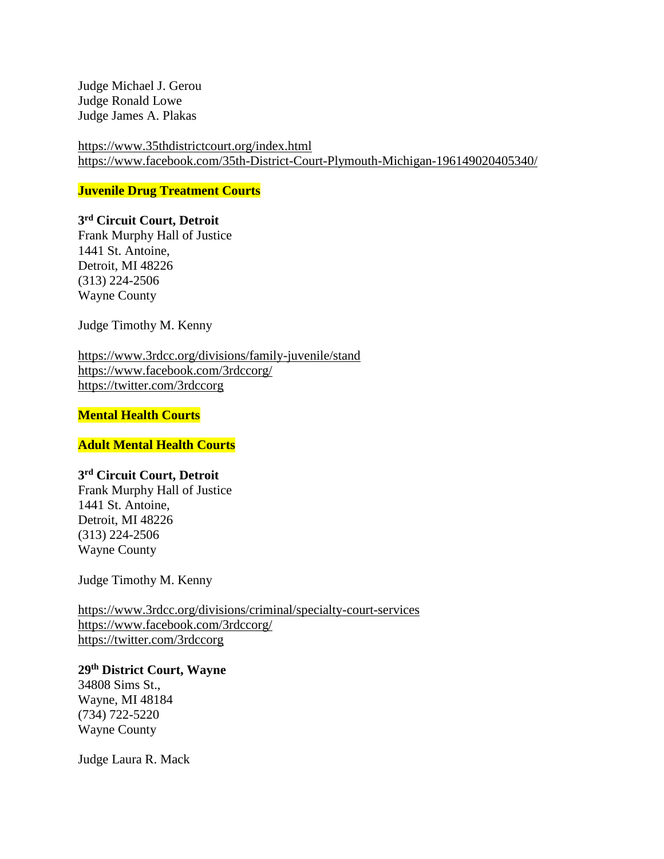Judge Michael J. Gerou Judge Ronald Lowe Judge James A. Plakas

<https://www.35thdistrictcourt.org/index.html> <https://www.facebook.com/35th-District-Court-Plymouth-Michigan-196149020405340/>

**Juvenile Drug Treatment Courts**

## **3 rd Circuit Court, Detroit**

Frank Murphy Hall of Justice 1441 St. Antoine, Detroit, MI 48226 (313) 224-2506 Wayne County

Judge Timothy M. Kenny

<https://www.3rdcc.org/divisions/family-juvenile/stand> <https://www.facebook.com/3rdccorg/> <https://twitter.com/3rdccorg>

### **Mental Health Courts**

#### **Adult Mental Health Courts**

### **3 rd Circuit Court, Detroit**

Frank Murphy Hall of Justice 1441 St. Antoine, Detroit, MI 48226 (313) 224-2506 Wayne County

Judge Timothy M. Kenny

<https://www.3rdcc.org/divisions/criminal/specialty-court-services> <https://www.facebook.com/3rdccorg/> <https://twitter.com/3rdccorg>

## **29th District Court, Wayne**

34808 Sims St., Wayne, MI 48184 (734) 722-5220 Wayne County

Judge Laura R. Mack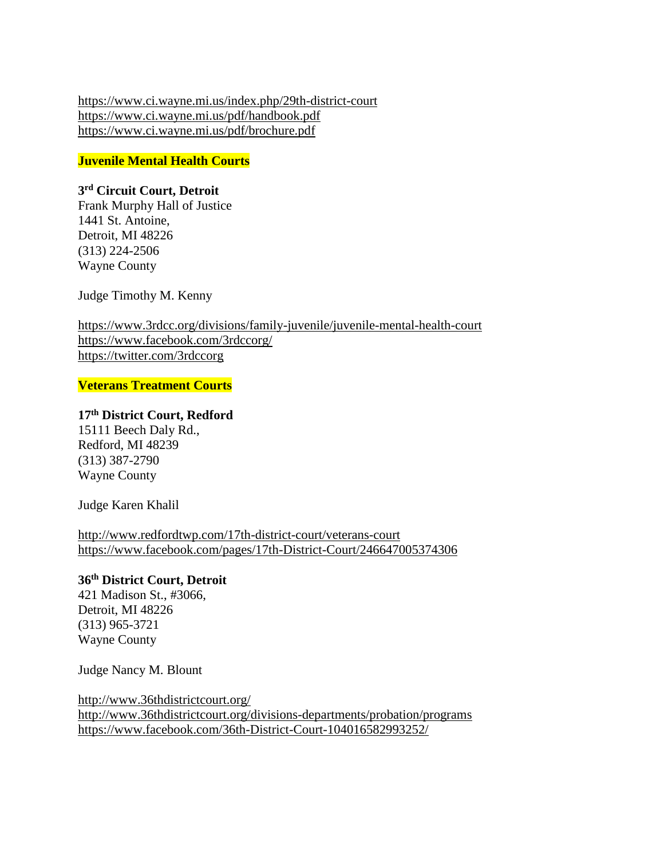<https://www.ci.wayne.mi.us/index.php/29th-district-court> <https://www.ci.wayne.mi.us/pdf/handbook.pdf> <https://www.ci.wayne.mi.us/pdf/brochure.pdf>

**Juvenile Mental Health Courts**

## **3 rd Circuit Court, Detroit**

Frank Murphy Hall of Justice 1441 St. Antoine, Detroit, MI 48226 (313) 224-2506 Wayne County

Judge Timothy M. Kenny

<https://www.3rdcc.org/divisions/family-juvenile/juvenile-mental-health-court> <https://www.facebook.com/3rdccorg/> <https://twitter.com/3rdccorg>

**Veterans Treatment Courts**

# **17th District Court, Redford**

15111 Beech Daly Rd., Redford, MI 48239 (313) 387-2790 Wayne County

Judge Karen Khalil

<http://www.redfordtwp.com/17th-district-court/veterans-court> <https://www.facebook.com/pages/17th-District-Court/246647005374306>

### **36th District Court, Detroit**

421 Madison St., #3066, Detroit, MI 48226 (313) 965-3721 Wayne County

Judge Nancy M. Blount

<http://www.36thdistrictcourt.org/> <http://www.36thdistrictcourt.org/divisions-departments/probation/programs> <https://www.facebook.com/36th-District-Court-104016582993252/>